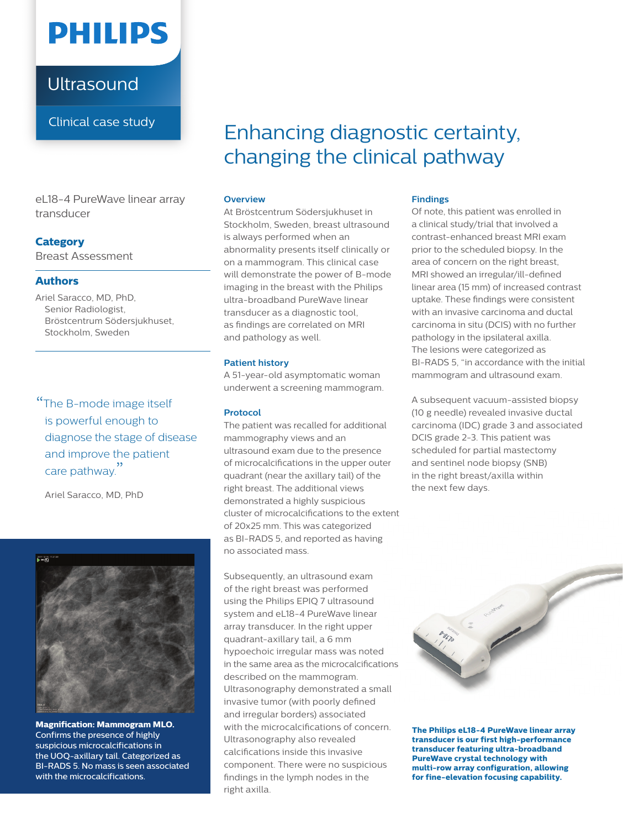

**Ultrasound** 

Clinical case study

eL18-4 PureWave linear array transducer

## **Category**

Breast Assessment

### **Authors**

Ariel Saracco, MD, PhD, Senior Radiologist, Bröstcentrum Södersjukhuset, Stockholm, Sweden

"The B-mode image itself is powerful enough to diagnose the stage of disease and improve the patient care pathway."

Ariel Saracco, MD, PhD



**Magnification: Mammogram MLO.**  Confirms the presence of highly suspicious microcalcifications in the UOQ-axillary tail. Categorized as BI-RADS 5. No mass is seen associated with the microcalcifications.

# Enhancing diagnostic certainty, changing the clinical pathway

#### **Overview**

At Bröstcentrum Södersjukhuset in Stockholm, Sweden, breast ultrasound is always performed when an abnormality presents itself clinically or on a mammogram. This clinical case will demonstrate the power of B-mode imaging in the breast with the Philips ultra-broadband PureWave linear transducer as a diagnostic tool, as findings are correlated on MRI and pathology as well.

#### **Patient history**

A 51-year-old asymptomatic woman underwent a screening mammogram.

#### **Protocol**

The patient was recalled for additional mammography views and an ultrasound exam due to the presence of microcalcifications in the upper outer quadrant (near the axillary tail) of the right breast. The additional views demonstrated a highly suspicious cluster of microcalcifications to the extent of 20x25 mm. This was categorized as BI-RADS 5, and reported as having no associated mass.

Subsequently, an ultrasound exam of the right breast was performed using the Philips EPIQ 7 ultrasound system and eL18-4 PureWave linear array transducer. In the right upper quadrant-axillary tail, a 6 mm hypoechoic irregular mass was noted in the same area as the microcalcifications described on the mammogram. Ultrasonography demonstrated a small invasive tumor (with poorly defined and irregular borders) associated with the microcalcifications of concern. Ultrasonography also revealed calcifications inside this invasive component. There were no suspicious findings in the lymph nodes in the right axilla.

#### **Findings**

Of note, this patient was enrolled in a clinical study/trial that involved a contrast-enhanced breast MRI exam prior to the scheduled biopsy. In the area of concern on the right breast, MRI showed an irregular/ill-defined linear area (15 mm) of increased contrast uptake. These findings were consistent with an invasive carcinoma and ductal carcinoma in situ (DCIS) with no further pathology in the ipsilateral axilla. The lesions were categorized as BI-RADS 5, "in accordance with the initial mammogram and ultrasound exam.

A subsequent vacuum-assisted biopsy (10 g needle) revealed invasive ductal carcinoma (IDC) grade 3 and associated DCIS grade 2-3. This patient was scheduled for partial mastectomy and sentinel node biopsy (SNB) in the right breast/axilla within the next few days.



**The Philips eL18-4 PureWave linear array transducer is our first high-performance transducer featuring ultra-broadband PureWave crystal technology with multi-row array configuration, allowing for fine-elevation focusing capability.**